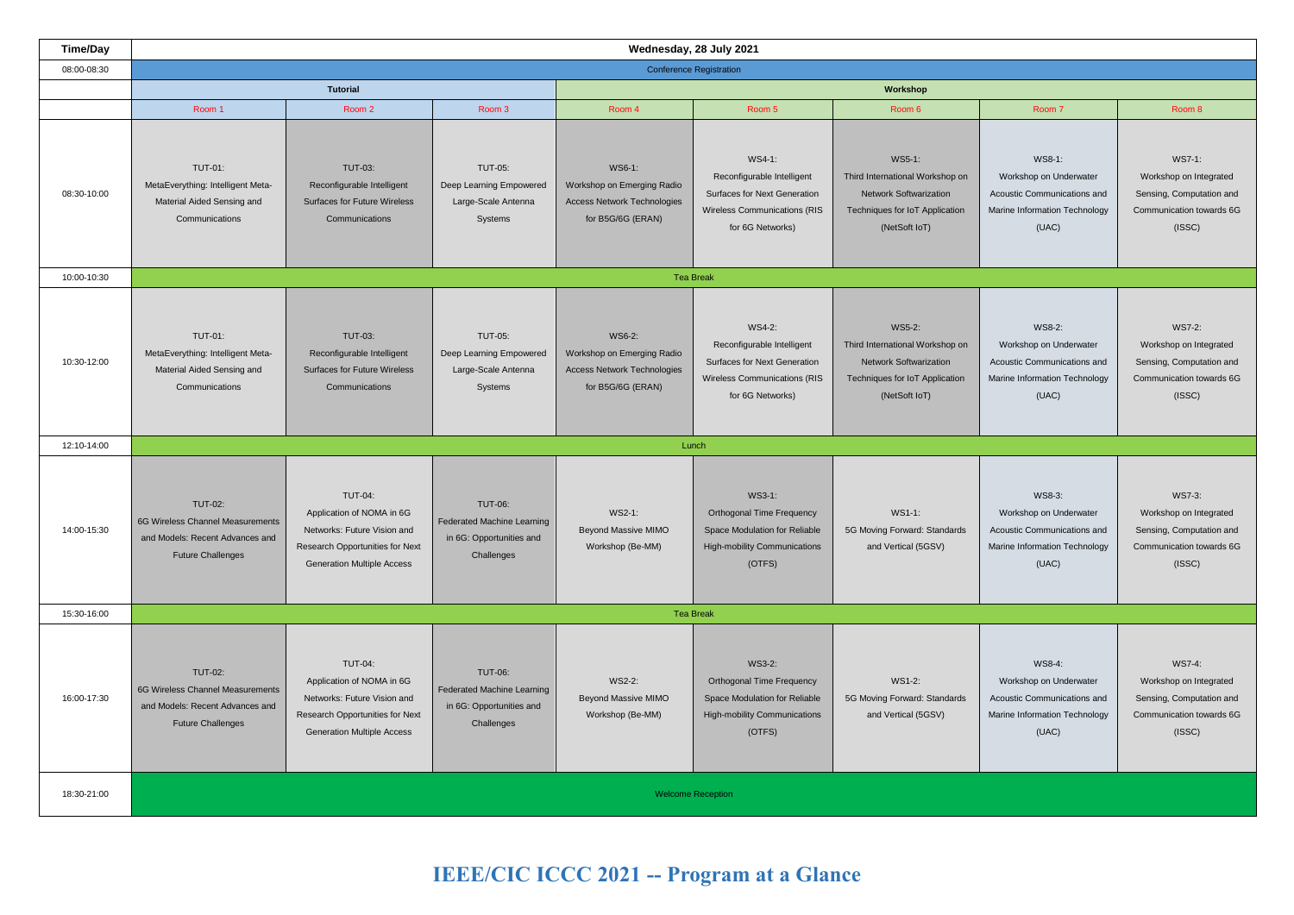**IEEE/CIC ICCC 2021 -- Program at a Glance** 

# WS7-1:

Workshop on Integrated Sensing, Computation and Communication towards 6G (ISSC)

| <b>Time/Day</b> | Wednesday, 28 July 2021                                                                                           |                                                                                                                                                    |                                                                                               |                                                                                                 |                                                                                                                                 |                                                                                                                               |                                                                                                           |                                                                                 |  |  |  |
|-----------------|-------------------------------------------------------------------------------------------------------------------|----------------------------------------------------------------------------------------------------------------------------------------------------|-----------------------------------------------------------------------------------------------|-------------------------------------------------------------------------------------------------|---------------------------------------------------------------------------------------------------------------------------------|-------------------------------------------------------------------------------------------------------------------------------|-----------------------------------------------------------------------------------------------------------|---------------------------------------------------------------------------------|--|--|--|
| 08:00-08:30     | <b>Conference Registration</b>                                                                                    |                                                                                                                                                    |                                                                                               |                                                                                                 |                                                                                                                                 |                                                                                                                               |                                                                                                           |                                                                                 |  |  |  |
|                 |                                                                                                                   | <b>Tutorial</b>                                                                                                                                    |                                                                                               | Workshop                                                                                        |                                                                                                                                 |                                                                                                                               |                                                                                                           |                                                                                 |  |  |  |
|                 | Room 1                                                                                                            | Room 2                                                                                                                                             | Room 3                                                                                        | Room 4                                                                                          | Room 5                                                                                                                          | Room 6                                                                                                                        | Room 7                                                                                                    | Room 8                                                                          |  |  |  |
| 08:30-10:00     | <b>TUT-01:</b><br>MetaEverything: Intelligent Meta-<br>Material Aided Sensing and<br>Communications               | <b>TUT-03:</b><br>Reconfigurable Intelligent<br><b>Surfaces for Future Wireless</b><br>Communications                                              | <b>TUT-05:</b><br>Deep Learning Empowered<br>Large-Scale Antenna<br>Systems                   | WS6-1:<br>Workshop on Emerging Radio<br><b>Access Network Technologies</b><br>for B5G/6G (ERAN) | WS4-1:<br>Reconfigurable Intelligent<br>Surfaces for Next Generation<br>Wireless Communications (RIS<br>for 6G Networks)        | WS5-1:<br>Third International Workshop on<br><b>Network Softwarization</b><br>Techniques for IoT Application<br>(NetSoft IoT) | WS8-1:<br>Workshop on Underwater<br>Acoustic Communications and<br>Marine Information Technology<br>(UAC) | WS7-1:<br>Workshop on In<br>Sensing, Comput<br>Communication to<br>(ISSC)       |  |  |  |
| 10:00-10:30     | <b>Tea Break</b>                                                                                                  |                                                                                                                                                    |                                                                                               |                                                                                                 |                                                                                                                                 |                                                                                                                               |                                                                                                           |                                                                                 |  |  |  |
| 10:30-12:00     | <b>TUT-01:</b><br>MetaEverything: Intelligent Meta-<br>Material Aided Sensing and<br>Communications               | <b>TUT-03:</b><br>Reconfigurable Intelligent<br><b>Surfaces for Future Wireless</b><br>Communications                                              | <b>TUT-05:</b><br>Deep Learning Empowered<br>Large-Scale Antenna<br>Systems                   | WS6-2:<br>Workshop on Emerging Radio<br><b>Access Network Technologies</b><br>for B5G/6G (ERAN) | WS4-2:<br>Reconfigurable Intelligent<br><b>Surfaces for Next Generation</b><br>Wireless Communications (RIS<br>for 6G Networks) | WS5-2:<br>Third International Workshop on<br><b>Network Softwarization</b><br>Techniques for IoT Application<br>(NetSoft IoT) | WS8-2:<br>Workshop on Underwater<br>Acoustic Communications and<br>Marine Information Technology<br>(UAC) | WS7-2:<br>Workshop on In<br>Sensing, Comput<br>Communication to<br>(ISSC)       |  |  |  |
| 12:10-14:00     |                                                                                                                   |                                                                                                                                                    |                                                                                               |                                                                                                 | Lunch                                                                                                                           |                                                                                                                               |                                                                                                           |                                                                                 |  |  |  |
| 14:00-15:30     | <b>TUT-02:</b><br>6G Wireless Channel Measurements<br>and Models: Recent Advances and<br><b>Future Challenges</b> | <b>TUT-04:</b><br>Application of NOMA in 6G<br>Networks: Future Vision and<br>Research Opportunities for Next<br><b>Generation Multiple Access</b> | <b>TUT-06:</b><br>Federated Machine Learning<br>in 6G: Opportunities and<br>Challenges        | WS2-1:<br><b>Beyond Massive MIMO</b><br>Workshop (Be-MM)                                        | WS3-1:<br><b>Orthogonal Time Frequency</b><br>Space Modulation for Reliable<br>High-mobility Communications<br>(OTFS)           | WS1-1:<br>5G Moving Forward: Standards<br>and Vertical (5GSV)                                                                 | WS8-3:<br>Workshop on Underwater<br>Acoustic Communications and<br>Marine Information Technology<br>(UAC) | WS7-3:<br>Workshop on In<br>Sensing, Comput<br>Communication to<br>(ISSC)       |  |  |  |
| 15:30-16:00     | <b>Tea Break</b>                                                                                                  |                                                                                                                                                    |                                                                                               |                                                                                                 |                                                                                                                                 |                                                                                                                               |                                                                                                           |                                                                                 |  |  |  |
| 16:00-17:30     | <b>TUT-02:</b><br>6G Wireless Channel Measurements<br>and Models: Recent Advances and<br><b>Future Challenges</b> | <b>TUT-04:</b><br>Application of NOMA in 6G<br>Networks: Future Vision and<br>Research Opportunities for Next<br><b>Generation Multiple Access</b> | <b>TUT-06:</b><br><b>Federated Machine Learning</b><br>in 6G: Opportunities and<br>Challenges | WS2-2:<br><b>Beyond Massive MIMO</b><br>Workshop (Be-MM)                                        | WS3-2:<br><b>Orthogonal Time Frequency</b><br>Space Modulation for Reliable<br><b>High-mobility Communications</b><br>(OTFS)    | WS1-2:<br>5G Moving Forward: Standards<br>and Vertical (5GSV)                                                                 | WS8-4:<br>Workshop on Underwater<br>Acoustic Communications and<br>Marine Information Technology<br>(UAC) | <b>WS7-4</b><br>Workshop on In<br>Sensing, Comput<br>Communication to<br>(ISSC) |  |  |  |
| 18:30-21:00     | <b>Welcome Reception</b>                                                                                          |                                                                                                                                                    |                                                                                               |                                                                                                 |                                                                                                                                 |                                                                                                                               |                                                                                                           |                                                                                 |  |  |  |

WS7-2: Workshop on Integrated Sensing, Computation and Communication towards 6G (ISSC)

WS7-3: Workshop on Integrated Sensing, Computation and Communication towards 6G (ISSC)

WS7-4:

Workshop on Integrated Sensing, Computation and Communication towards 6G (ISSC)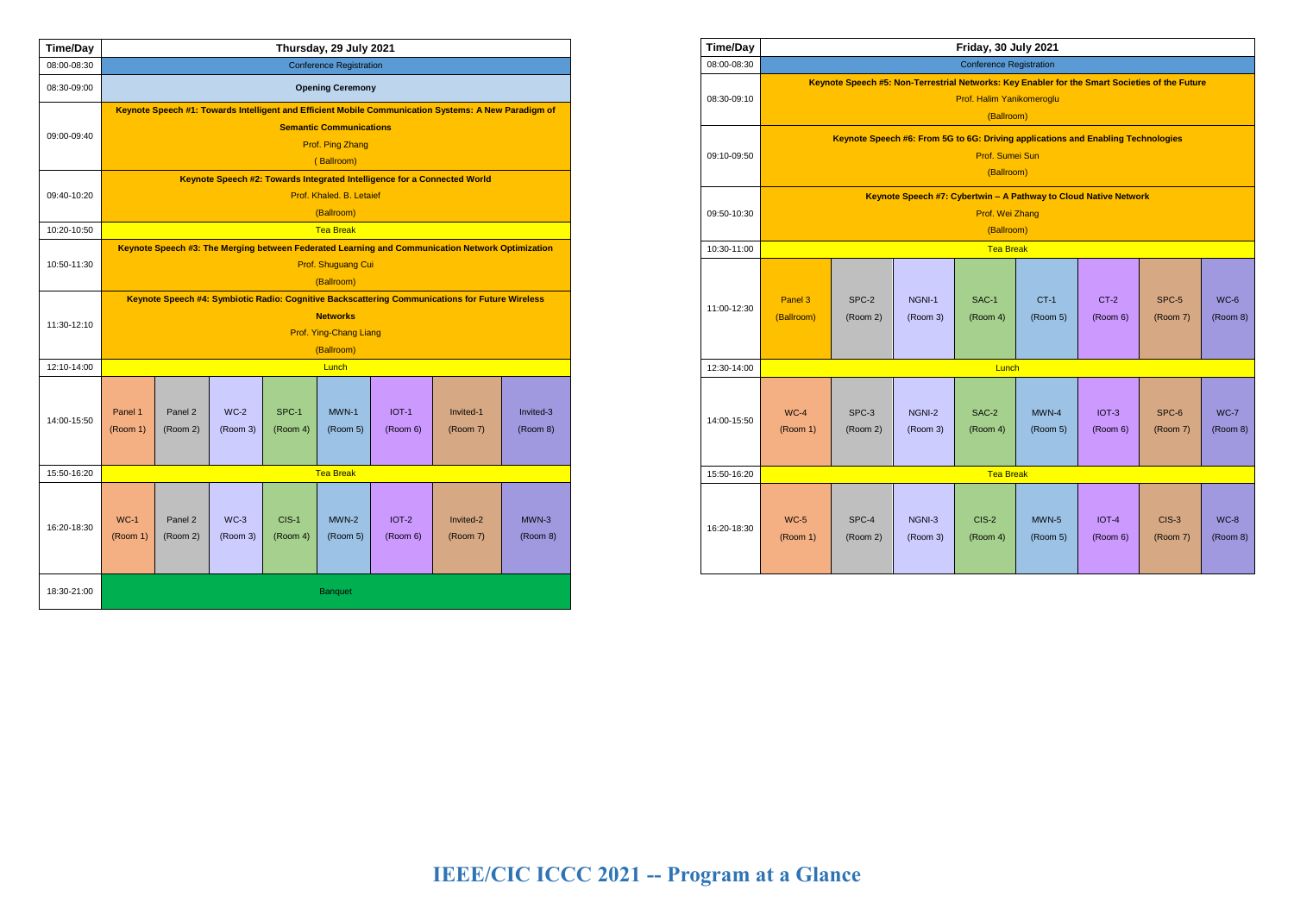# **IEEE/CIC ICCC 2021 -- Program at a Glance**

| <b>Time/Day</b> | Thursday, 29 July 2021                                                                                                                 |                     |                    |                     |                     |                     |                       |                       |  |  |
|-----------------|----------------------------------------------------------------------------------------------------------------------------------------|---------------------|--------------------|---------------------|---------------------|---------------------|-----------------------|-----------------------|--|--|
| 08:00-08:30     | <b>Conference Registration</b>                                                                                                         |                     |                    |                     |                     |                     |                       |                       |  |  |
| 08:30-09:00     | <b>Opening Ceremony</b>                                                                                                                |                     |                    |                     |                     |                     |                       |                       |  |  |
| 09:00-09:40     | Keynote Speech #1: Towards Intelligent and Efficient Mobile Communication Systems: A New Paradigm of<br><b>Semantic Communications</b> |                     |                    |                     |                     |                     |                       |                       |  |  |
|                 | Prof. Ping Zhang<br>(Ballroom)                                                                                                         |                     |                    |                     |                     |                     |                       |                       |  |  |
|                 | Keynote Speech #2: Towards Integrated Intelligence for a Connected World                                                               |                     |                    |                     |                     |                     |                       |                       |  |  |
| 09:40-10:20     | Prof. Khaled. B. Letaief                                                                                                               |                     |                    |                     |                     |                     |                       |                       |  |  |
|                 | (Ballroom)                                                                                                                             |                     |                    |                     |                     |                     |                       |                       |  |  |
| 10:20-10:50     | <b>Tea Break</b>                                                                                                                       |                     |                    |                     |                     |                     |                       |                       |  |  |
| 10:50-11:30     | Keynote Speech #3: The Merging between Federated Learning and Communication Network Optimization<br>Prof. Shuguang Cui                 |                     |                    |                     |                     |                     |                       |                       |  |  |
|                 | (Ballroom)                                                                                                                             |                     |                    |                     |                     |                     |                       |                       |  |  |
|                 | Keynote Speech #4: Symbiotic Radio: Cognitive Backscattering Communications for Future Wireless                                        |                     |                    |                     |                     |                     |                       |                       |  |  |
| 11:30-12:10     | <b>Networks</b>                                                                                                                        |                     |                    |                     |                     |                     |                       |                       |  |  |
|                 | Prof. Ying-Chang Liang                                                                                                                 |                     |                    |                     |                     |                     |                       |                       |  |  |
| 12:10-14:00     | (Ballroom)<br>Lunch                                                                                                                    |                     |                    |                     |                     |                     |                       |                       |  |  |
| 14:00-15:50     | Panel 1<br>(Room 1)                                                                                                                    | Panel 2<br>(Room 2) | $WC-2$<br>(Room 3) | SPC-1<br>(Room 4)   | MWN-1<br>(Room 5)   | IOT-1<br>(Room 6)   | Invited-1<br>(Room 7) | Invited-3<br>(Room 8) |  |  |
| 15:50-16:20     | <b>Tea Break</b>                                                                                                                       |                     |                    |                     |                     |                     |                       |                       |  |  |
| 16:20-18:30     | $WC-1$<br>(Room 1)                                                                                                                     | Panel 2<br>(Room 2) | $WC-3$<br>(Room 3) | $CIS-1$<br>(Room 4) | $MWN-2$<br>(Room 5) | $IOT-2$<br>(Room 6) | Invited-2<br>(Room 7) | $MWN-3$<br>(Room 8)   |  |  |
| 18:30-21:00     | <b>Banquet</b>                                                                                                                         |                     |                    |                     |                     |                     |                       |                       |  |  |

| <b>Time/Day</b> | Friday, 30 July 2021                                                                                                                      |                   |                    |                     |                     |                     |                     |                    |  |  |  |
|-----------------|-------------------------------------------------------------------------------------------------------------------------------------------|-------------------|--------------------|---------------------|---------------------|---------------------|---------------------|--------------------|--|--|--|
| 08:00-08:30     | <b>Conference Registration</b>                                                                                                            |                   |                    |                     |                     |                     |                     |                    |  |  |  |
| 08:30-09:10     | Keynote Speech #5: Non-Terrestrial Networks: Key Enabler for the Smart Societies of the Future<br>Prof. Halim Yanikomeroglu<br>(Ballroom) |                   |                    |                     |                     |                     |                     |                    |  |  |  |
| 09:10-09:50     | Keynote Speech #6: From 5G to 6G: Driving applications and Enabling Technologies<br>Prof. Sumei Sun<br>(Ballroom)                         |                   |                    |                     |                     |                     |                     |                    |  |  |  |
| 09:50-10:30     | Keynote Speech #7: Cybertwin - A Pathway to Cloud Native Network<br>Prof. Wei Zhang<br>(Ballroom)                                         |                   |                    |                     |                     |                     |                     |                    |  |  |  |
| 10:30-11:00     | <b>Tea Break</b>                                                                                                                          |                   |                    |                     |                     |                     |                     |                    |  |  |  |
| 11:00-12:30     | Panel 3<br>(Ballroom)                                                                                                                     | SPC-2<br>(Room 2) | NGNI-1<br>(Room 3) | SAC-1<br>(Room 4)   | $CT-1$<br>(Room 5)  | $CT-2$<br>(Room 6)  | SPC-5<br>(Room 7)   | $WC-6$<br>(Room 8) |  |  |  |
| 12:30-14:00     | Lunch                                                                                                                                     |                   |                    |                     |                     |                     |                     |                    |  |  |  |
| 14:00-15:50     | $WC-4$<br>(Room 1)                                                                                                                        | SPC-3<br>(Room 2) | NGNI-2<br>(Room 3) | SAC-2<br>(Room 4)   | $MWN-4$<br>(Room 5) | $IOT-3$<br>(Room 6) | SPC-6<br>(Room 7)   | $WC-7$<br>(Room 8) |  |  |  |
| 15:50-16:20     | <b>Tea Break</b>                                                                                                                          |                   |                    |                     |                     |                     |                     |                    |  |  |  |
| 16:20-18:30     | <b>WC-5</b><br>(Room 1)                                                                                                                   | SPC-4<br>(Room 2) | NGNI-3<br>(Room 3) | $CIS-2$<br>(Room 4) | $MWN-5$<br>(Room 5) | $IOT-4$<br>(Room 6) | $CIS-3$<br>(Room 7) | $WC-8$<br>(Room 8) |  |  |  |